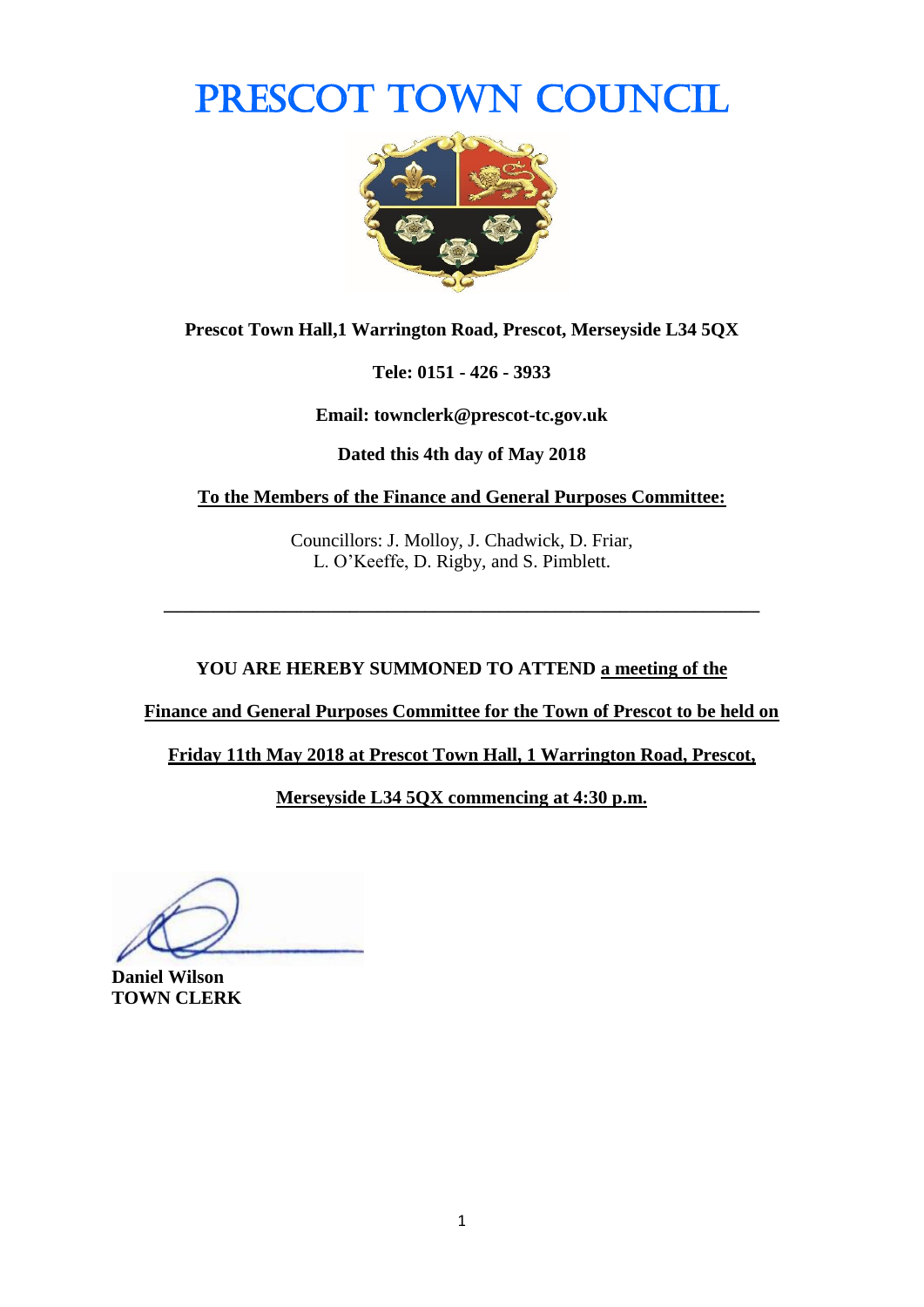# PRESCOT TOWN COUNCIL



**Prescot Town Hall,1 Warrington Road, Prescot, Merseyside L34 5QX**

**Tele: 0151 - 426 - 3933**

**Email: townclerk@prescot-tc.gov.uk**

**Dated this 4th day of May 2018**

**To the Members of the Finance and General Purposes Committee:**

Councillors: J. Molloy, J. Chadwick, D. Friar, L. O'Keeffe, D. Rigby, and S. Pimblett.

**\_\_\_\_\_\_\_\_\_\_\_\_\_\_\_\_\_\_\_\_\_\_\_\_\_\_\_\_\_\_\_\_\_\_\_\_\_\_\_\_\_\_\_\_\_\_\_\_\_\_\_\_\_\_\_\_\_\_\_\_\_\_\_\_**

#### **YOU ARE HEREBY SUMMONED TO ATTEND a meeting of the**

**Finance and General Purposes Committee for the Town of Prescot to be held on** 

**Friday 11th May 2018 at Prescot Town Hall, 1 Warrington Road, Prescot,** 

**Merseyside L34 5QX commencing at 4:30 p.m.**

**Daniel Wilson TOWN CLERK**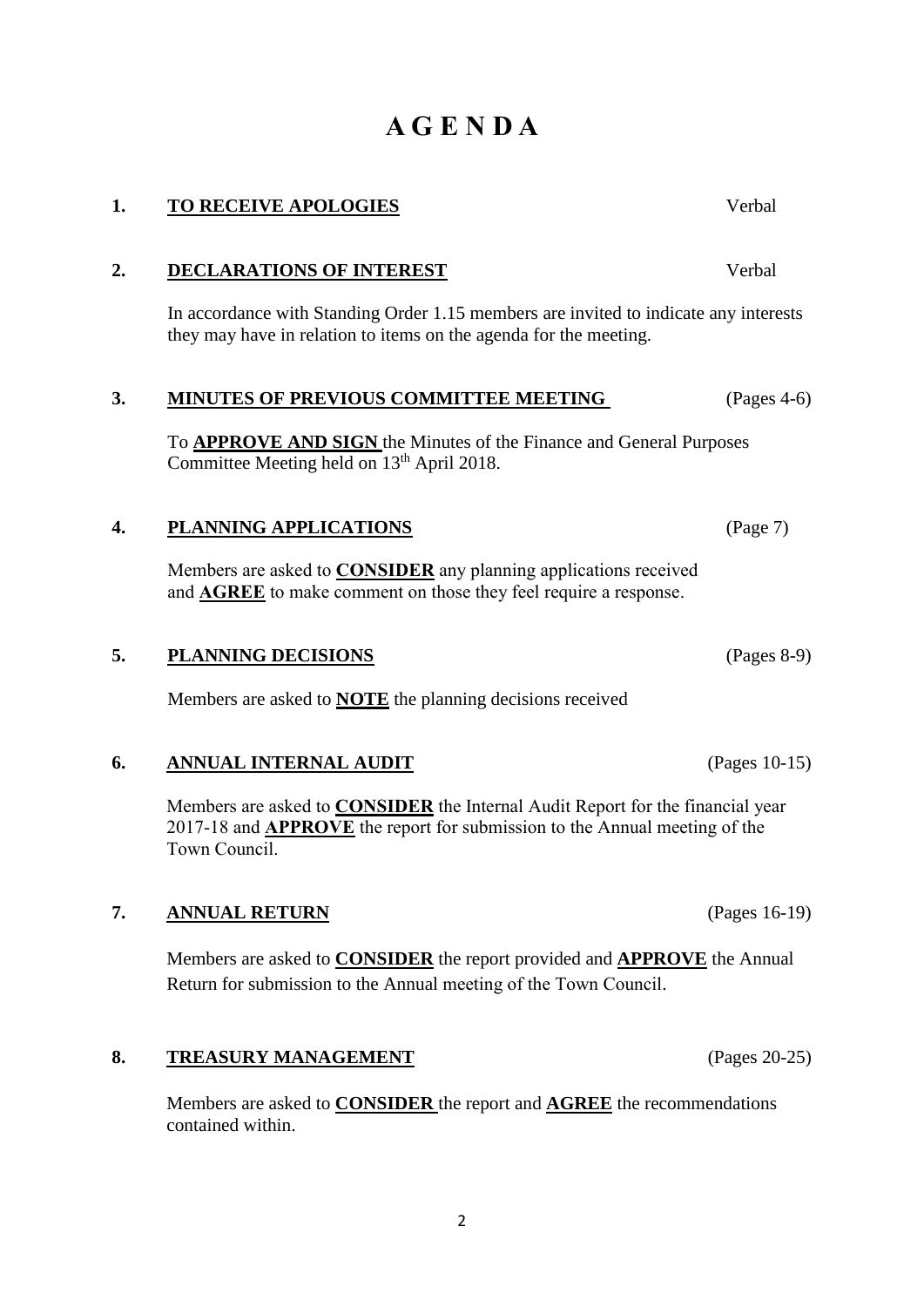### **A G E N D A**

**1. TO RECEIVE APOLOGIES** Verbal

# **2. DECLARATIONS OF INTEREST** Verbal In accordance with Standing Order 1.15 members are invited to indicate any interests they may have in relation to items on the agenda for the meeting. **3. MINUTES OF PREVIOUS COMMITTEE MEETING** (Pages 4-6) To **APPROVE AND SIGN** the Minutes of the Finance and General Purposes Committee Meeting held on 13<sup>th</sup> April 2018.

### **4. PLANNING APPLICATIONS** (Page 7)

Members are asked to **CONSIDER** any planning applications received and **AGREE** to make comment on those they feel require a response.

#### **5. PLANNING DECISIONS** (Pages 8-9)

Members are asked to **NOTE** the planning decisions received

#### **6. ANNUAL INTERNAL AUDIT** (Pages 10-15)

Members are asked to **CONSIDER** the Internal Audit Report for the financial year 2017-18 and **APPROVE** the report for submission to the Annual meeting of the Town Council.

#### **7. ANNUAL RETURN** (Pages 16-19)

Members are asked to **CONSIDER** the report provided and **APPROVE** the Annual Return for submission to the Annual meeting of the Town Council.

#### **8. TREASURY MANAGEMENT** (Pages 20-25)

Members are asked to **CONSIDER** the report and **AGREE** the recommendations contained within.